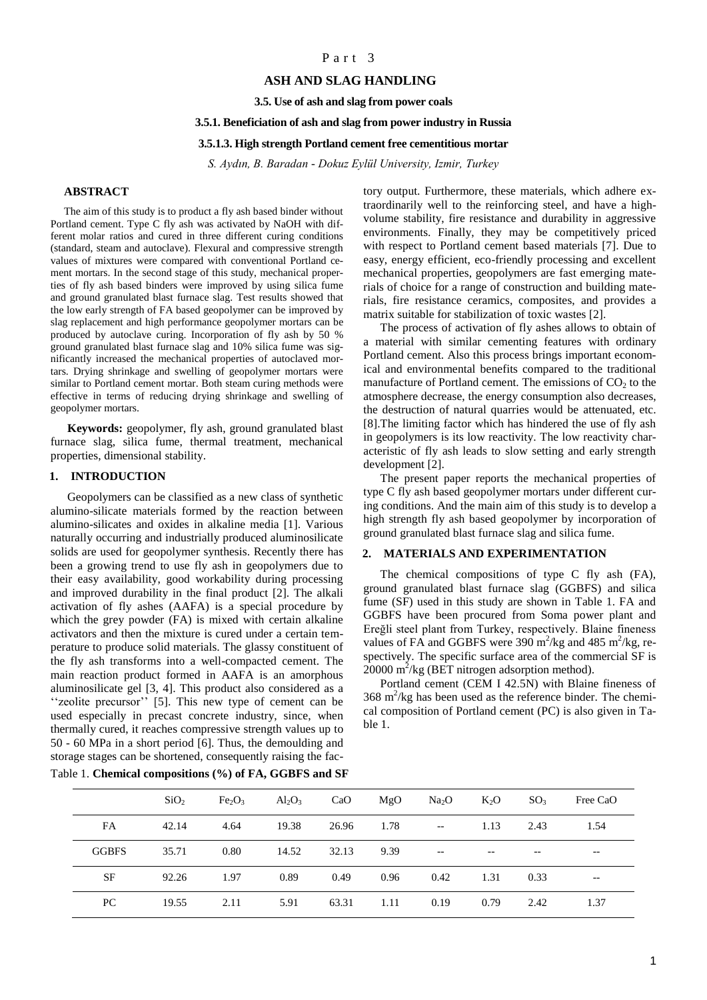## Part 3

## **ASH AND SLAG HANDLING**

**3.5. Use of ash and slag from power coals**

### **3.5.1. Beneficiation of ash and slag from power industry in Russia**

#### **3.5.1.3. High strength Portland cement free cementitious mortar**

*S. Aydın, B. Baradan - Dokuz Eylül University, Izmir, Turkey*

## **ABSTRACT**

The aim of this study is to product a fly ash based binder without Portland cement. Type C fly ash was activated by NaOH with different molar ratios and cured in three different curing conditions (standard, steam and autoclave). Flexural and compressive strength values of mixtures were compared with conventional Portland cement mortars. In the second stage of this study, mechanical properties of fly ash based binders were improved by using silica fume and ground granulated blast furnace slag. Test results showed that the low early strength of FA based geopolymer can be improved by slag replacement and high performance geopolymer mortars can be produced by autoclave curing. Incorporation of fly ash by 50 % ground granulated blast furnace slag and 10% silica fume was significantly increased the mechanical properties of autoclaved mortars. Drying shrinkage and swelling of geopolymer mortars were similar to Portland cement mortar. Both steam curing methods were effective in terms of reducing drying shrinkage and swelling of geopolymer mortars.

**Keywords:** geopolymer, fly ash, ground granulated blast furnace slag, silica fume, thermal treatment, mechanical properties, dimensional stability.

### **1. INTRODUCTION**

Geopolymers can be classified as a new class of synthetic alumino-silicate materials formed by the reaction between alumino-silicates and oxides in alkaline media [1]. Various naturally occurring and industrially produced aluminosilicate solids are used for geopolymer synthesis. Recently there has been a growing trend to use fly ash in geopolymers due to their easy availability, good workability during processing and improved durability in the final product [2]. The alkali activation of fly ashes (AAFA) is a special procedure by which the grey powder (FA) is mixed with certain alkaline activators and then the mixture is cured under a certain temperature to produce solid materials. The glassy constituent of the fly ash transforms into a well-compacted cement. The main reaction product formed in AAFA is an amorphous aluminosilicate gel [3, 4]. This product also considered as a ''zeolite precursor'' [5]. This new type of cement can be used especially in precast concrete industry, since, when thermally cured, it reaches compressive strength values up to 50 - 60 MPa in a short period [6]. Thus, the demoulding and storage stages can be shortened, consequently raising the factory output. Furthermore, these materials, which adhere extraordinarily well to the reinforcing steel, and have a highvolume stability, fire resistance and durability in aggressive environments. Finally, they may be competitively priced with respect to Portland cement based materials [7]. Due to easy, energy efficient, eco-friendly processing and excellent mechanical properties, geopolymers are fast emerging materials of choice for a range of construction and building materials, fire resistance ceramics, composites, and provides a matrix suitable for stabilization of toxic wastes [2].

The process of activation of fly ashes allows to obtain of a material with similar cementing features with ordinary Portland cement. Also this process brings important economical and environmental benefits compared to the traditional manufacture of Portland cement. The emissions of  $CO<sub>2</sub>$  to the atmosphere decrease, the energy consumption also decreases, the destruction of natural quarries would be attenuated, etc. [8].The limiting factor which has hindered the use of fly ash in geopolymers is its low reactivity. The low reactivity characteristic of fly ash leads to slow setting and early strength development [2].

The present paper reports the mechanical properties of type C fly ash based geopolymer mortars under different curing conditions. And the main aim of this study is to develop a high strength fly ash based geopolymer by incorporation of ground granulated blast furnace slag and silica fume.

### **2. MATERIALS AND EXPERIMENTATION**

The chemical compositions of type C fly ash (FA), ground granulated blast furnace slag (GGBFS) and silica fume (SF) used in this study are shown in Table 1. FA and GGBFS have been procured from Soma power plant and Ereğli steel plant from Turkey, respectively. Blaine fineness values of FA and GGBFS were  $390 \text{ m}^2/\text{kg}$  and  $485 \text{ m}^2/\text{kg}$ , respectively. The specific surface area of the commercial SF is  $20000 \text{ m}^2/\text{kg}$  (BET nitrogen adsorption method).

Portland cement (CEM I 42.5N) with Blaine fineness of  $368 \text{ m}^2/\text{kg}$  has been used as the reference binder. The chemical composition of Portland cement (PC) is also given in Table 1.

|              | SiO <sub>2</sub> | Fe <sub>2</sub> O <sub>3</sub> | $\text{Al}_2\text{O}_3$ | CaO              | MgO        | Na <sub>2</sub> O                                   | $K_2O$    | $SO_3$ | Free CaO |
|--------------|------------------|--------------------------------|-------------------------|------------------|------------|-----------------------------------------------------|-----------|--------|----------|
| <b>FA</b>    | 42.14            | 4.64                           |                         | 19.38 26.96 1.78 |            | $\sim$ $-$                                          | 1.13      | 2.43   | 1.54     |
| <b>GGBFS</b> | 35.71            | 0.80                           |                         | 14.52 32.13 9.39 |            | $\hspace{0.05cm} -\hspace{0.05cm} -\hspace{0.05cm}$ |           |        | $- -$    |
| <b>SF</b>    | 92.26            | 1.97                           | 0.89                    | 0.49 0.96        |            | 0.42                                                | 1.31 0.33 |        | $- -$    |
| PC           | 19.55            | 2.11                           | 5.91                    |                  | 63.31 1.11 | 0.19                                                | 0.79      | 2.42   | 1.37     |

# Table 1. **Chemical compositions (%) of FA, GGBFS and SF**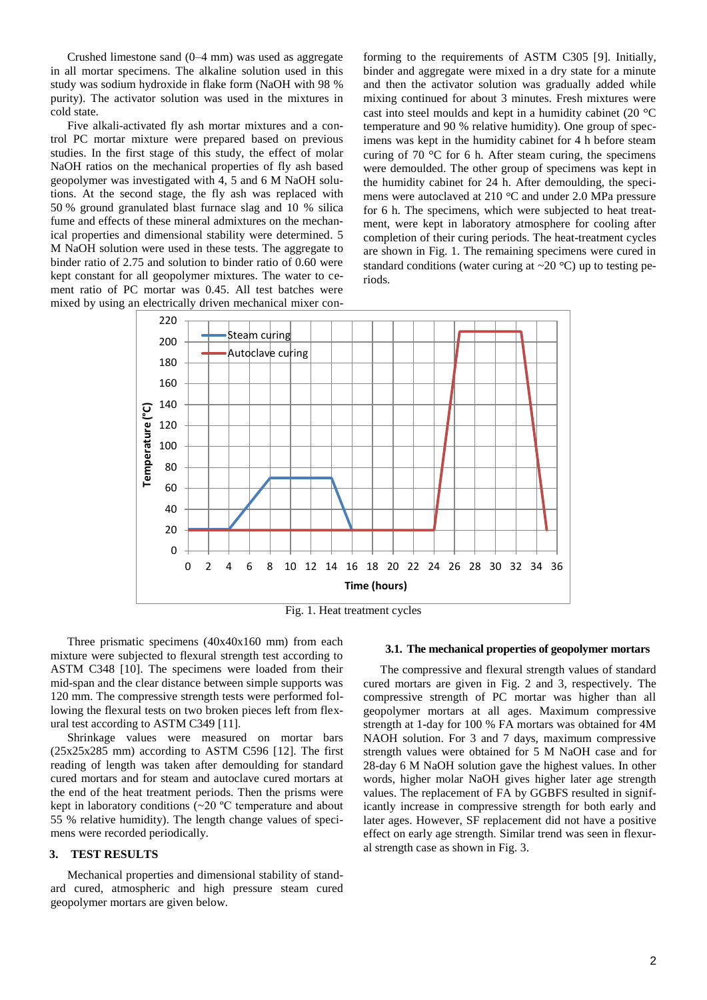Crushed limestone sand (0–4 mm) was used as aggregate in all mortar specimens. The alkaline solution used in this study was sodium hydroxide in flake form (NaOH with 98 % purity). The activator solution was used in the mixtures in cold state.

Five alkali-activated fly ash mortar mixtures and a control PC mortar mixture were prepared based on previous studies. In the first stage of this study, the effect of molar NaOH ratios on the mechanical properties of fly ash based geopolymer was investigated with 4, 5 and 6 M NaOH solutions. At the second stage, the fly ash was replaced with 50 % ground granulated blast furnace slag and 10 % silica fume and effects of these mineral admixtures on the mechanical properties and dimensional stability were determined. 5 M NaOH solution were used in these tests. The aggregate to binder ratio of 2.75 and solution to binder ratio of 0.60 were kept constant for all geopolymer mixtures. The water to cement ratio of PC mortar was 0.45. All test batches were mixed by using an electrically driven mechanical mixer conforming to the requirements of ASTM C305 [9]. Initially, binder and aggregate were mixed in a dry state for a minute and then the activator solution was gradually added while mixing continued for about 3 minutes. Fresh mixtures were cast into steel moulds and kept in a humidity cabinet (20 $\degree$ C) temperature and 90 % relative humidity). One group of specimens was kept in the humidity cabinet for 4 h before steam curing of 70  $\degree$ C for 6 h. After steam curing, the specimens were demoulded. The other group of specimens was kept in the humidity cabinet for 24 h. After demoulding, the specimens were autoclaved at  $210\text{ °C}$  and under 2.0 MPa pressure for 6 h. The specimens, which were subjected to heat treatment, were kept in laboratory atmosphere for cooling after completion of their curing periods. The heat-treatment cycles are shown in Fig. 1. The remaining specimens were cured in standard conditions (water curing at  $\sim$  20 °C) up to testing periods.



Fig. 1. Heat treatment cycles

Three prismatic specimens (40x40x160 mm) from each mixture were subjected to flexural strength test according to ASTM C348 [10]. The specimens were loaded from their mid-span and the clear distance between simple supports was 120 mm. The compressive strength tests were performed following the flexural tests on two broken pieces left from flexural test according to ASTM C349 [11].

Shrinkage values were measured on mortar bars  $(25x25x285$  mm) according to ASTM C596 [12]. The first reading of length was taken after demoulding for standard cured mortars and for steam and autoclave cured mortars at the end of the heat treatment periods. Then the prisms were kept in laboratory conditions (~20 ºC temperature and about 55 % relative humidity). The length change values of specimens were recorded periodically.

## **3. TEST RESULTS**

Mechanical properties and dimensional stability of standard cured, atmospheric and high pressure steam cured geopolymer mortars are given below.

#### **3.1. The mechanical properties of geopolymer mortars**

The compressive and flexural strength values of standard cured mortars are given in Fig. 2 and 3, respectively. The compressive strength of PC mortar was higher than all geopolymer mortars at all ages. Maximum compressive strength at 1-day for 100 % FA mortars was obtained for 4M NAOH solution. For 3 and 7 days, maximum compressive strength values were obtained for 5 M NaOH case and for 28-day 6 M NaOH solution gave the highest values. In other words, higher molar NaOH gives higher later age strength values. The replacement of FA by GGBFS resulted in significantly increase in compressive strength for both early and later ages. However, SF replacement did not have a positive effect on early age strength. Similar trend was seen in flexural strength case as shown in Fig. 3.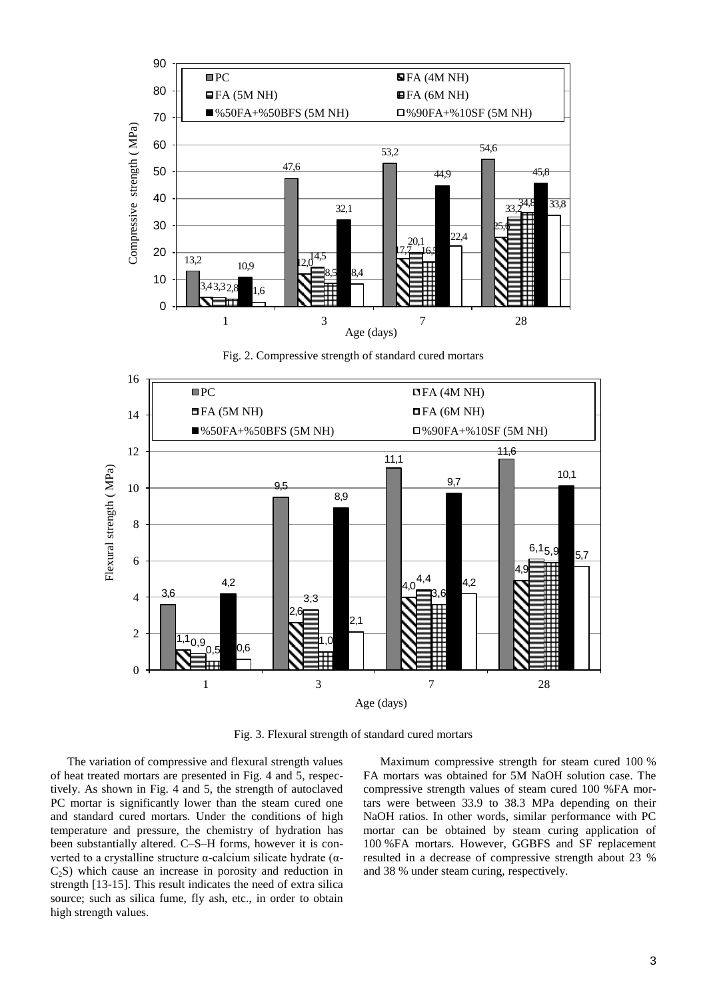

Fig. 2. Compressive strength of standard cured mortars



Fig. 3. Flexural strength of standard cured mortars

The variation of compressive and flexural strength values of heat treated mortars are presented in Fig. 4 and 5, respectively. As shown in Fig. 4 and 5, the strength of autoclaved PC mortar is significantly lower than the steam cured one and standard cured mortars. Under the conditions of high temperature and pressure, the chemistry of hydration has been substantially altered. C–S–H forms, however it is converted to a crystalline structure α-calcium silicate hydrate (α- $C_2$ S) which cause an increase in porosity and reduction in strength [13-15]. This result indicates the need of extra silica source; such as silica fume, fly ash, etc., in order to obtain high strength values.

Maximum compressive strength for steam cured 100 % FA mortars was obtained for 5M NaOH solution case. The compressive strength values of steam cured 100 %FA mortars were between 33.9 to 38.3 MPa depending on their NaOH ratios. In other words, similar performance with PC mortar can be obtained by steam curing application of 100 %FA mortars. However, GGBFS and SF replacement resulted in a decrease of compressive strength about 23 % and 38 % under steam curing, respectively.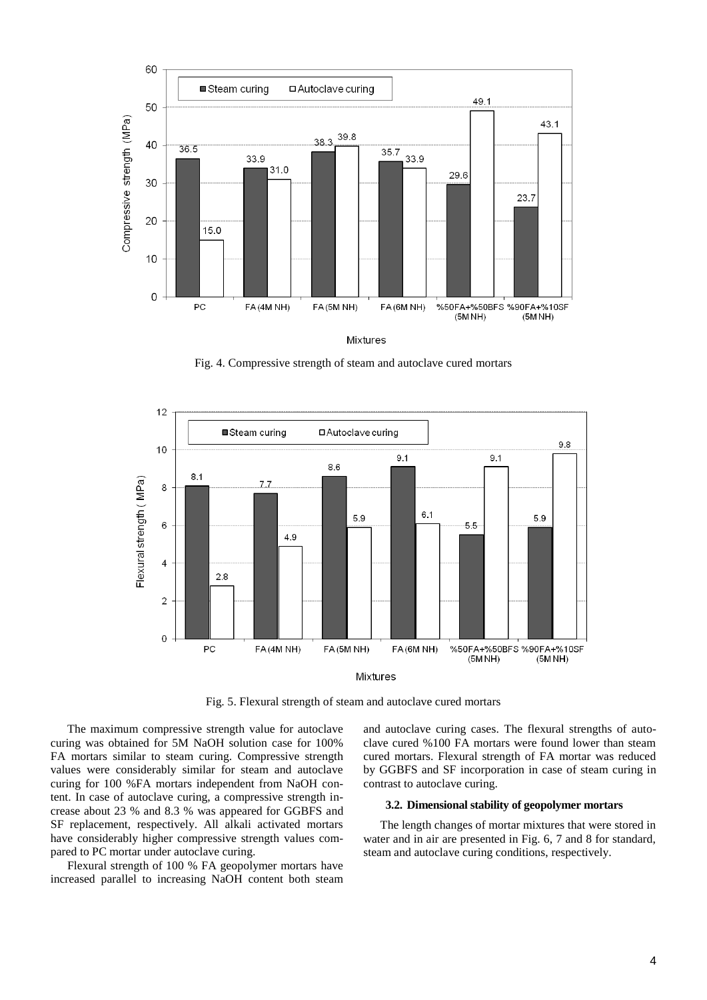

Mixtures

Fig. 4. Compressive strength of steam and autoclave cured mortars



Fig. 5. Flexural strength of steam and autoclave cured mortars

The maximum compressive strength value for autoclave curing was obtained for 5M NaOH solution case for 100% FA mortars similar to steam curing. Compressive strength values were considerably similar for steam and autoclave curing for 100 %FA mortars independent from NaOH content. In case of autoclave curing, a compressive strength increase about 23 % and 8.3 % was appeared for GGBFS and SF replacement, respectively. All alkali activated mortars have considerably higher compressive strength values compared to PC mortar under autoclave curing.

Flexural strength of 100 % FA geopolymer mortars have increased parallel to increasing NaOH content both steam and autoclave curing cases. The flexural strengths of autoclave cured %100 FA mortars were found lower than steam cured mortars. Flexural strength of FA mortar was reduced by GGBFS and SF incorporation in case of steam curing in contrast to autoclave curing.

### **3.2. Dimensional stability of geopolymer mortars**

The length changes of mortar mixtures that were stored in water and in air are presented in Fig. 6, 7 and 8 for standard, steam and autoclave curing conditions, respectively.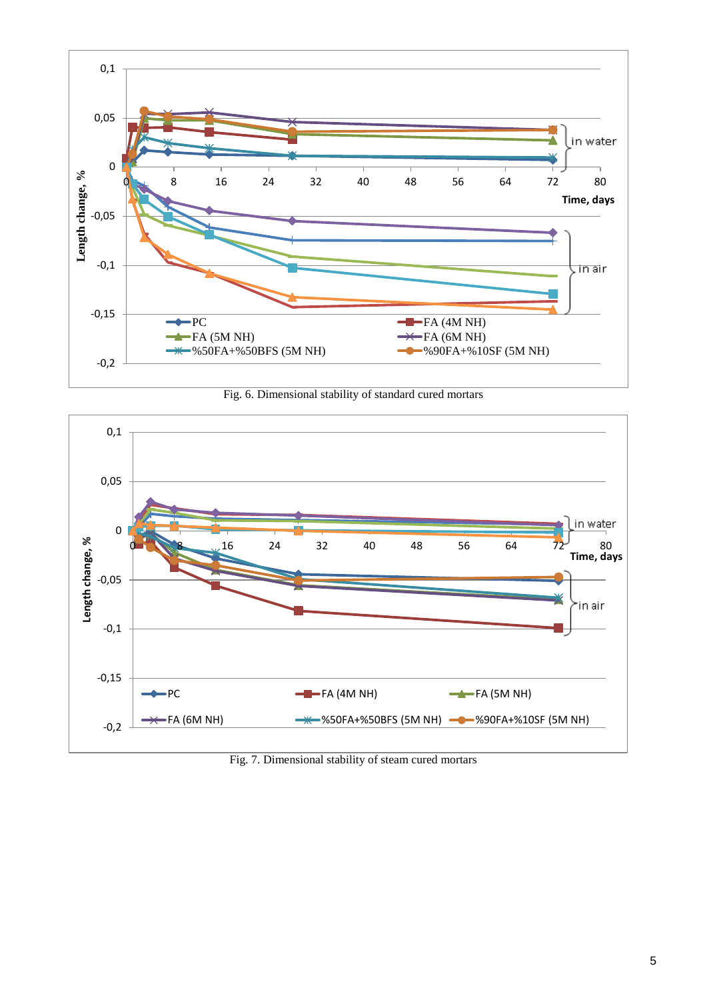

Fig. 6. Dimensional stability of standard cured mortars



Fig. 7. Dimensional stability of steam cured mortars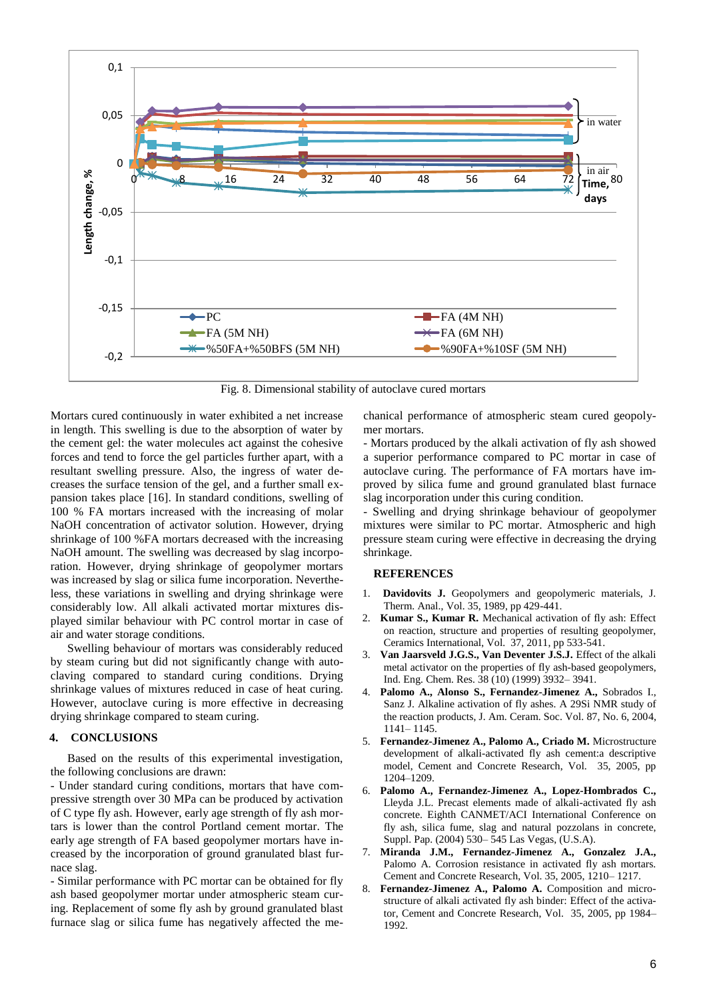

Fig. 8. Dimensional stability of autoclave cured mortars

Mortars cured continuously in water exhibited a net increase in length. This swelling is due to the absorption of water by the cement gel: the water molecules act against the cohesive forces and tend to force the gel particles further apart, with a resultant swelling pressure. Also, the ingress of water decreases the surface tension of the gel, and a further small expansion takes place [16]. In standard conditions, swelling of 100 % FA mortars increased with the increasing of molar NaOH concentration of activator solution. However, drying shrinkage of 100 %FA mortars decreased with the increasing NaOH amount. The swelling was decreased by slag incorporation. However, drying shrinkage of geopolymer mortars was increased by slag or silica fume incorporation. Nevertheless, these variations in swelling and drying shrinkage were considerably low. All alkali activated mortar mixtures displayed similar behaviour with PC control mortar in case of air and water storage conditions.

Swelling behaviour of mortars was considerably reduced by steam curing but did not significantly change with autoclaving compared to standard curing conditions. Drying shrinkage values of mixtures reduced in case of heat curing. However, autoclave curing is more effective in decreasing drying shrinkage compared to steam curing.

## **4. CONCLUSIONS**

Based on the results of this experimental investigation, the following conclusions are drawn:

- Under standard curing conditions, mortars that have compressive strength over 30 MPa can be produced by activation of C type fly ash. However, early age strength of fly ash mortars is lower than the control Portland cement mortar. The early age strength of FA based geopolymer mortars have increased by the incorporation of ground granulated blast furnace slag.

- Similar performance with PC mortar can be obtained for fly ash based geopolymer mortar under atmospheric steam curing. Replacement of some fly ash by ground granulated blast furnace slag or silica fume has negatively affected the mechanical performance of atmospheric steam cured geopolymer mortars.

- Mortars produced by the alkali activation of fly ash showed a superior performance compared to PC mortar in case of autoclave curing. The performance of FA mortars have improved by silica fume and ground granulated blast furnace slag incorporation under this curing condition.

- Swelling and drying shrinkage behaviour of geopolymer mixtures were similar to PC mortar. Atmospheric and high pressure steam curing were effective in decreasing the drying shrinkage.

### **REFERENCES**

- 1. **Davidovits J.** Geopolymers and geopolymeric materials, J. Therm. Anal., Vol. 35, 1989, pp 429-441.
- 2. **Kumar S., Kumar R.** Mechanical activation of fly ash: Effect on reaction, structure and properties of resulting geopolymer, Ceramics International, Vol. 37, 2011, pp 533-541.
- 3. **Van Jaarsveld J.G.S., Van Deventer J.S.J.** Effect of the alkali metal activator on the properties of fly ash-based geopolymers, Ind. Eng. Chem. Res. 38 (10) (1999) 3932– 3941.
- 4. **Palomo A., Alonso S., Fernandez-Jimenez A.,** Sobrados I., Sanz J. Alkaline activation of fly ashes. A 29Si NMR study of the reaction products, J. Am. Ceram. Soc. Vol. 87, No. 6, 2004, 1141– 1145.
- 5. **Fernandez-Jimenez A., Palomo A., Criado M.** Microstructure development of alkali-activated fly ash cement:a descriptive model, Cement and Concrete Research, Vol. 35, 2005, pp 1204–1209.
- 6. **Palomo A., Fernandez-Jimenez A., Lopez-Hombrados C.,** Lleyda J.L. Precast elements made of alkali-activated fly ash concrete. Eighth CANMET/ACI International Conference on fly ash, silica fume, slag and natural pozzolans in concrete, Suppl. Pap. (2004) 530– 545 Las Vegas, (U.S.A).
- 7. **Miranda J.M., Fernandez-Jimenez A., Gonzalez J.A.,** Palomo A. Corrosion resistance in activated fly ash mortars. Cement and Concrete Research, Vol. 35, 2005, 1210– 1217.
- 8. **Fernandez-Jimenez A., Palomo A.** Composition and microstructure of alkali activated fly ash binder: Effect of the activator, Cement and Concrete Research, Vol. 35, 2005, pp 1984– 1992.